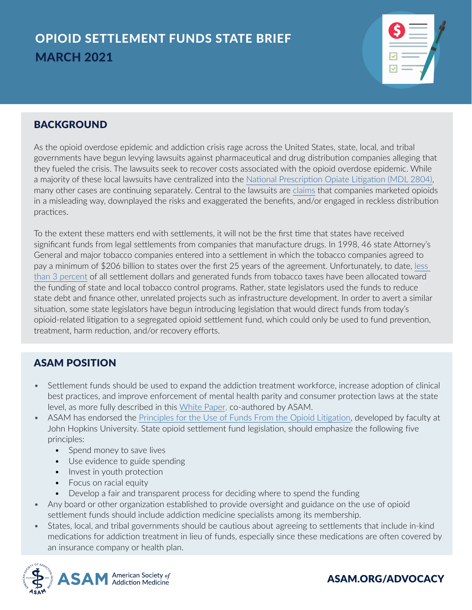# OPIOID SETTLEMENT FUNDS STATE BRIEF MARCH 2021



## BACKGROUND

As the opioid overdose epidemic and addiction crisis rage across the United States, state, local, and tribal governments have begun levying lawsuits against pharmaceutical and drug distribution companies alleging that they fueled the crisis. The lawsuits seek to recover costs associated with the opioid overdose epidemic. While a majority of these local lawsuits have centralized into the [National Prescription Opiate Litigation \(MDL 2804\),](https://www.ohnd.uscourts.gov/mdl-2804) many other cases are continuing separately. Central to the lawsuits are [claims](https://www.hsdl.org/?view&did=831978) that companies marketed opioids in a misleading way, downplayed the risks and exaggerated the benefits, and/or engaged in reckless distribution practices.

To the extent these matters end with settlements, it will not be the first time that states have received significant funds from legal settlements from companies that manufacture drugs. In 1998, 46 state Attorney's General and major tobacco companies entered into a settlement in which the tobacco companies agreed to pay a minimum of \$206 billion to states over the first 25 years of the agreement. Unfortunately, to date, [less](https://www.tobaccofreekids.org/press-releases/2018_12_14_statereport)  [than 3 percent](https://www.tobaccofreekids.org/press-releases/2018_12_14_statereport) of all settlement dollars and generated funds from tobacco taxes have been allocated toward the funding of state and local tobacco control programs. Rather, state legislators used the funds to reduce state debt and finance other, unrelated projects such as infrastructure development. In order to avert a similar situation, some state legislators have begun introducing legislation that would direct funds from today's opioid-related litigation to a segregated opioid settlement fund, which could only be used to fund prevention, treatment, harm reduction, and/or recovery efforts.

## ASAM POSITION

- Settlement funds should be used to expand the addiction treatment workforce, increase adoption of clinical best practices, and improve enforcement of mental health parity and consumer protection laws at the state level, as more fully described in this [White Paper](https://www.asam.org/docs/default-source/advocacy/white-paper.pdf?sfvrsn=31755ac2_2), co-authored by ASAM.
- ASAM has endorsed the [Principles for the Use of Funds From the Opioid Litigation,](https://opioidprinciples.jhsph.edu/) developed by faculty at John Hopkins University. State opioid settlement fund legislation, should emphasize the following five principles:
	- Spend money to save lives
	- Use evidence to guide spending
	- Invest in youth protection
	- Focus on racial equity
	- Develop a fair and transparent process for deciding where to spend the funding
- Any board or other organization established to provide oversight and guidance on the use of opioid settlement funds should include addiction medicine specialists among its membership.
- States, local, and tribal governments should be cautious about agreeing to settlements that include in-kind medications for addiction treatment in lieu of funds, especially since these medications are often covered by an insurance company or health plan.



ASAM.ORG/ADVOCACY